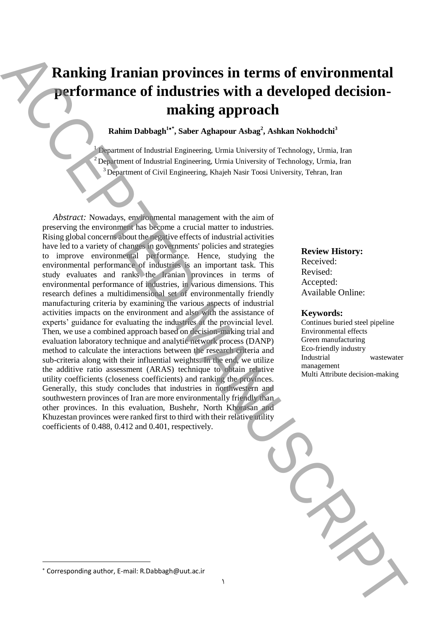# **Ranking Iranian provinces in terms of environmental performance of industries with a developed decisionmaking approach**

**Rahim Dabbagh<sup>1</sup>\* , Saber Aghapour Asbag<sup>2</sup> , Ashkan Nokhodchi<sup>3</sup>**

 $<sup>1</sup>$  Department of Industrial Engineering, Urmia University of Technology, Urmia, Iran</sup> <sup>2</sup>Department of Industrial Engineering, Urmia University of Technology, Urmia, Iran <sup>3</sup> Department of Civil Engineering, Khajeh Nasir Toosi University, Tehran, Iran

1

*Abstract:* Nowadays, environmental management with the aim of preserving the environment has become a crucial matter to industries. Rising global concerns about the negative effects of industrial activities have led to a variety of changes in governments' policies and strategies to improve environmental performance. Hence, studying the environmental performance of industries is an important task. This study evaluates and ranks the Iranian provinces in terms of environmental performance of industries, in various dimensions. This research defines a multidimensional set of environmentally friendly manufacturing criteria by examining the various aspects of industrial activities impacts on the environment and also with the assistance of experts' guidance for evaluating the industries at the provincial level. Then, we use a combined approach based on decision-making trial and evaluation laboratory technique and analytic network process (DANP) method to calculate the interactions between the research criteria and sub-criteria along with their influential weights. In the end, we utilize the additive ratio assessment (ARAS) technique to obtain relative utility coefficients (closeness coefficients) and ranking the provinces. Generally, this study concludes that industries in northwestern and southwestern provinces of Iran are more environmentally friendly than other provinces. In this evaluation, Bushehr, North Khorasan and Khuzestan provinces were ranked first to third with their relative utility coefficients of 0.488, 0.412 and 0.401, respectively. **Corresponding and the effective of the corresponding authorities with a developed decision-<br>
Radius Dabbagh<sup>2</sup>: Nakier Nahuston, E-mail: Research Corresponding Association and Corresponding approach<br>
<b>E-mail:** The propert

### **Review History:**

Received: Revised: Accepted: Available Online:

#### **Keywords:**

Continues buried steel pipeline Environmental effects Green manufacturing Eco-friendly industry Industrial wastewater management Multi Attribute decision-making

**.**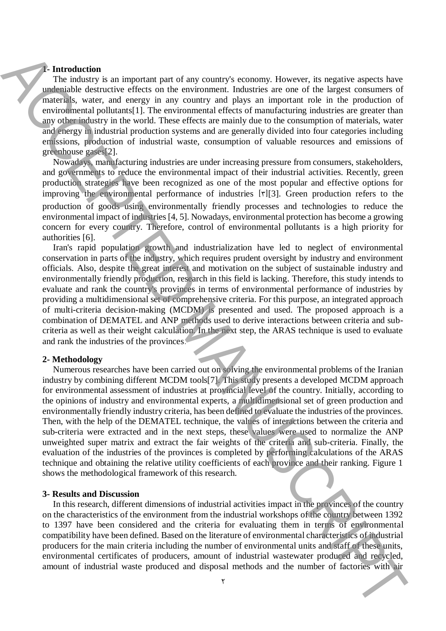## **1- Introduction**

The industry is an important part of any country's economy. However, its negative aspects have undeniable destructive effects on the environment. Industries are one of the largest consumers of materials, water, and energy in any country and plays an important role in the production of environmental pollutants[1]. The environmental effects of manufacturing industries are greater than any other industry in the world. These effects are mainly due to the consumption of materials, water and energy in industrial production systems and are generally divided into four categories including emissions, production of industrial waste, consumption of valuable resources and emissions of greenhouse gases[2].

Nowadays, manufacturing industries are under increasing pressure from consumers, stakeholders, and governments to reduce the environmental impact of their industrial activities. Recently, green production strategies have been recognized as one of the most popular and effective options for improving the environmental performance of industries  $[r][3]$ . Green production refers to the production of goods using environmentally friendly processes and technologies to reduce the environmental impact of industries [4, 5]. Nowadays, environmental protection has become a growing concern for every country. Therefore, control of environmental pollutants is a high priority for authorities [6].

Iran's rapid population growth and industrialization have led to neglect of environmental conservation in parts of the industry, which requires prudent oversight by industry and environment officials. Also, despite the great interest and motivation on the subject of sustainable industry and environmentally friendly production, research in this field is lacking. Therefore, this study intends to evaluate and rank the country's provinces in terms of environmental performance of industries by providing a multidimensional set of comprehensive criteria. For this purpose, an integrated approach of multi-criteria decision-making (MCDM) is presented and used. The proposed approach is a combination of DEMATEL and ANP methods used to derive interactions between criteria and subcriteria as well as their weight calculation. In the next step, the ARAS technique is used to evaluate and rank the industries of the provinces.

#### **2- Methodology**

Numerous researches have been carried out on solving the environmental problems of the Iranian industry by combining different MCDM tools[7]. This study presents a developed MCDM approach for environmental assessment of industries at provincial level of the country. Initially, according to the opinions of industry and environmental experts, a multidimensional set of green production and environmentally friendly industry criteria, has been defined to evaluate the industries of the provinces. Then, with the help of the DEMATEL technique, the values of interactions between the criteria and sub-criteria were extracted and in the next steps, these values were used to normalize the ANP unweighted super matrix and extract the fair weights of the criteria and sub-criteria. Finally, the evaluation of the industries of the provinces is completed by performing calculations of the ARAS technique and obtaining the relative utility coefficients of each province and their ranking. Figure 1 shows the methodological framework of this research. **Example the interior is an interior in the any country, between the signature and the methods of the interior of the interior of the interior interior is a specifical methods and the number of interior interior is a gene** 

#### **3- Results and Discussion**

In this research, different dimensions of industrial activities impact in the provinces of the country on the characteristics of the environment from the industrial workshops of the country between 1392 to 1397 have been considered and the criteria for evaluating them in terms of environmental compatibility have been defined. Based on the literature of environmental characteristics of industrial producers for the main criteria including the number of environmental units and staff of these units, environmental certificates of producers, amount of industrial wastewater produced and recycled,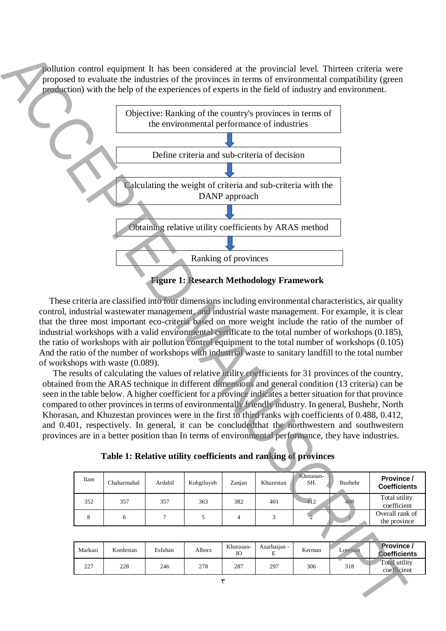pollution control equipment It has been considered at the provincial level. Thirteen criteria were proposed to evaluate the industries of the provinces in terms of environmental compatibility (green production) with the help of the experiences of experts in the field of industry and environment.



These criteria are classified into four dimensions including environmental characteristics, air quality control, industrial wastewater management, and industrial waste management. For example, it is clear that the three most important eco-criteria based on more weight include the ratio of the number of industrial workshops with a valid environmental certificate to the total number of workshops (0.185), the ratio of workshops with air pollution control equipment to the total number of workshops (0.105) And the ratio of the number of workshops with industrial waste to sanitary landfill to the total number of workshops with waste (0.089).

The results of calculating the values of relative utility coefficients for 31 provinces of the country, obtained from the ARAS technique in different dimensions and general condition (13 criteria) can be seen in the table below. A higher coefficient for a province indicates a better situation for that province compared to other provinces in terms of environmentally friendly industry. In general, Bushehr, North Khorasan, and Khuzestan provinces were in the first to third ranks with coefficients of 0.488, 0.412, and 0.401, respectively. In general, it can be concludedthat the northwestern and southwestern provinces are in a better position than In terms of environmental performance, they have industries.

**Table 1: Relative utility coefficients and ranking of provinces**

| Ilam | Chaharmahal | Ardabil | Kohgiluyeh | Zanjan | Khuzestan | Khorasan-<br>SH. | Bushehr | Province /<br><b>Coefficients</b> |
|------|-------------|---------|------------|--------|-----------|------------------|---------|-----------------------------------|
| 352  | 357         | 357     | 363        | 382    | 401       | 412              | 488     | Total utility<br>coefficient      |
| 8    |             |         |            |        |           |                  |         | Overall rank of<br>the province   |
|      |             |         |            |        |           |                  |         |                                   |

| Markazi | Kordestan | Esfahan | Alborz | Khorasan-<br>JO | Azarbaijan -<br>- | Kerman | Lorestan | <b>Province</b> /<br><b>Coefficients</b> |
|---------|-----------|---------|--------|-----------------|-------------------|--------|----------|------------------------------------------|
| 227     | 228       | 246     | 278    | 287             | 297               | 306    | 318      | Total utility<br>coefficient             |